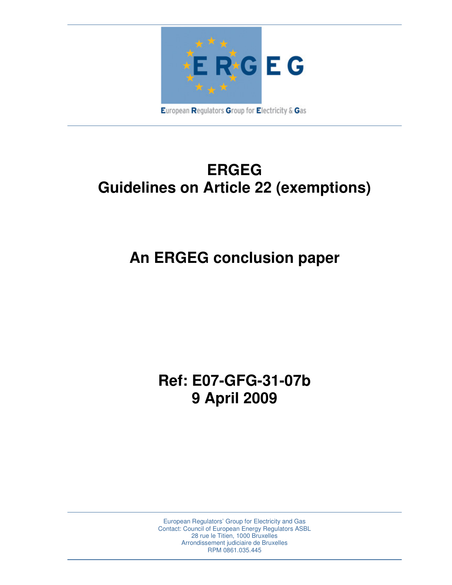

## **ERGEG Guidelines on Article 22 (exemptions)**

# **An ERGEG conclusion paper**

### **Ref: E07-GFG-31-07b 9 April 2009**

European Regulators' Group for Electricity and Gas Contact: Council of European Energy Regulators ASBL 28 rue le Titien, 1000 Bruxelles Arrondissement judiciaire de Bruxelles RPM 0861.035.445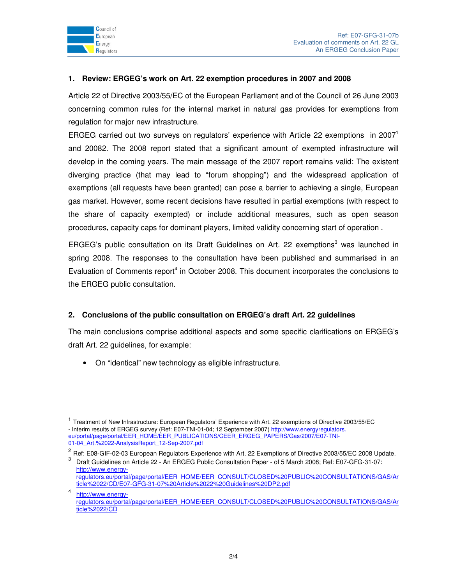

-

#### **1. Review: ERGEG's work on Art. 22 exemption procedures in 2007 and 2008**

Article 22 of Directive 2003/55/EC of the European Parliament and of the Council of 26 June 2003 concerning common rules for the internal market in natural gas provides for exemptions from regulation for major new infrastructure.

ERGEG carried out two surveys on regulators' experience with Article 22 exemptions in 2007<sup>1</sup> and 20082. The 2008 report stated that a significant amount of exempted infrastructure will develop in the coming years. The main message of the 2007 report remains valid: The existent diverging practice (that may lead to "forum shopping") and the widespread application of exemptions (all requests have been granted) can pose a barrier to achieving a single, European gas market. However, some recent decisions have resulted in partial exemptions (with respect to the share of capacity exempted) or include additional measures, such as open season procedures, capacity caps for dominant players, limited validity concerning start of operation .

ERGEG's public consultation on its Draft Guidelines on Art. 22 exemptions<sup>3</sup> was launched in spring 2008. The responses to the consultation have been published and summarised in an Evaluation of Comments report<sup>4</sup> in October 2008. This document incorporates the conclusions to the ERGEG public consultation.

#### **2. Conclusions of the public consultation on ERGEG's draft Art. 22 guidelines**

The main conclusions comprise additional aspects and some specific clarifications on ERGEG's draft Art. 22 guidelines, for example:

• On "identical" new technology as eligible infrastructure.

<sup>&</sup>lt;sup>1</sup> Treatment of New Infrastructure: European Regulators' Experience with Art. 22 exemptions of Directive 2003/55/EC - Interim results of ERGEG survey (Ref: E07-TNI-01-04; 12 September 2007) http://www.energyregulators. eu/portal/page/portal/EER\_HOME/EER\_PUBLICATIONS/CEER\_ERGEG\_PAPERS/Gas/2007/E07-TNI-01-04\_Art.%2022-AnalysisReport\_12-Sep-2007.pdf

<sup>&</sup>lt;sup>2</sup> Ref: E08-GIF-02-03 European Regulators Experience with Art. 22 Exemptions of Directive 2003/55/EC 2008 Update.

<sup>&</sup>lt;sup>3</sup> Draft Guidelines on Article 22 - An ERGEG Public Consultation Paper - of 5 March 2008; Ref: E07-GFG-31-07: http://www.energyregulators.eu/portal/page/portal/EER\_HOME/EER\_CONSULT/CLOSED%20PUBLIC%20CONSULTATIONS/GAS/Ar ticle%2022/CD/E07-GFG-31-07%20Article%2022%20Guidelines%20DP2.pdf

<sup>4</sup> http://www.energyregulators.eu/portal/page/portal/EER\_HOME/EER\_CONSULT/CLOSED%20PUBLIC%20CONSULTATIONS/GAS/Ar ticle%2022/CD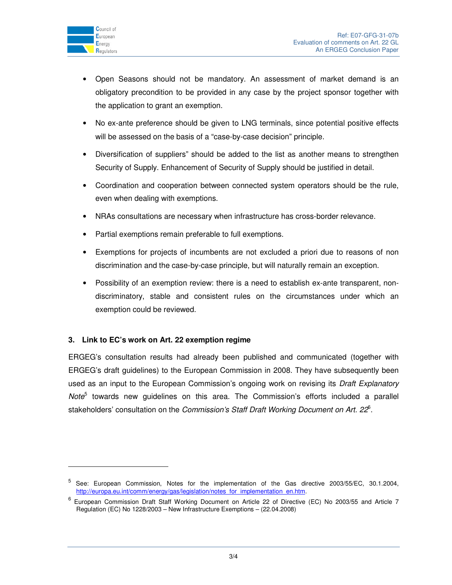

 $\ddot{ }$ 

- Open Seasons should not be mandatory. An assessment of market demand is an obligatory precondition to be provided in any case by the project sponsor together with the application to grant an exemption.
- No ex-ante preference should be given to LNG terminals, since potential positive effects will be assessed on the basis of a "case-by-case decision" principle.
- Diversification of suppliers" should be added to the list as another means to strengthen Security of Supply. Enhancement of Security of Supply should be justified in detail.
- Coordination and cooperation between connected system operators should be the rule, even when dealing with exemptions.
- NRAs consultations are necessary when infrastructure has cross-border relevance.
- Partial exemptions remain preferable to full exemptions.
- Exemptions for projects of incumbents are not excluded a priori due to reasons of non discrimination and the case-by-case principle, but will naturally remain an exception.
- Possibility of an exemption review: there is a need to establish ex-ante transparent, nondiscriminatory, stable and consistent rules on the circumstances under which an exemption could be reviewed.

#### **3. Link to EC's work on Art. 22 exemption regime**

ERGEG's consultation results had already been published and communicated (together with ERGEG's draft guidelines) to the European Commission in 2008. They have subsequently been used as an input to the European Commission's ongoing work on revising its Draft Explanatory Note<sup>5</sup> towards new guidelines on this area. The Commission's efforts included a parallel stakeholders' consultation on the Commission's Staff Draft Working Document on Art. 22<sup>6</sup>.

<sup>&</sup>lt;sup>5</sup> See: European Commission, Notes for the implementation of the Gas directive 2003/55/EC, 30.1.2004, http://europa.eu.int/comm/energy/gas/legislation/notes\_for\_implementation\_en.htm.

<sup>6</sup> European Commission Draft Staff Working Document on Article 22 of Directive (EC) No 2003/55 and Article 7 Regulation (EC) No 1228/2003 – New Infrastructure Exemptions – (22.04.2008)